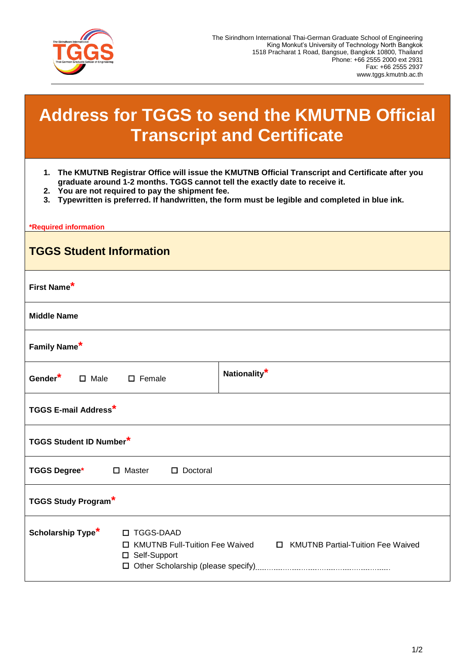

## **Address for TGGS to send the KMUTNB Official Transcript and Certificate**

- **1. The KMUTNB Registrar Office will issue the KMUTNB Official Transcript and Certificate after you graduate around 1-2 months. TGGS cannot tell the exactly date to receive it.**
- **2. You are not required to pay the shipment fee.**
- **3. Typewritten is preferred. If handwritten, the form must be legible and completed in blue ink.**

| *Required information                                          |                                                                      |  |
|----------------------------------------------------------------|----------------------------------------------------------------------|--|
| <b>TGGS Student Information</b>                                |                                                                      |  |
| First Name*                                                    |                                                                      |  |
| <b>Middle Name</b>                                             |                                                                      |  |
| Family Name*                                                   |                                                                      |  |
| Gender*<br>$\Box$ Male<br>$\Box$ Female                        | Nationality <sup>*</sup>                                             |  |
| <b>TGGS E-mail Address*</b>                                    |                                                                      |  |
| <b>TGGS Student ID Number*</b>                                 |                                                                      |  |
| TGGS Degree <sup>*</sup> □ Master<br>$\square$ Doctoral        |                                                                      |  |
| <b>TGGS Study Program*</b>                                     |                                                                      |  |
| Scholarship Type <sup>*</sup><br>□ TGGS-DAAD<br>□ Self-Support | □ KMUTNB Full-Tuition Fee Waived □ KMUTNB Partial-Tuition Fee Waived |  |